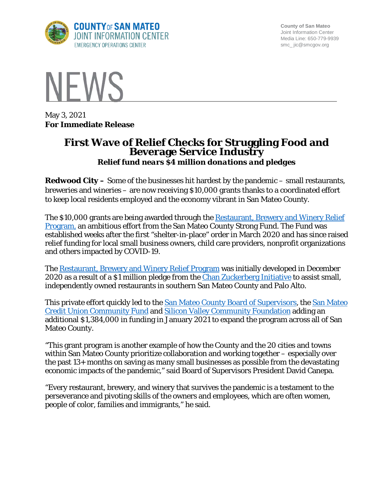

**County of San Mateo** Joint Information Center Media Line: 650-779-9939 smc\_ jic@smcgov.org



May 3, 2021 **For Immediate Release**

## **First Wave of Relief Checks for Struggling Food and Beverage Service Industry** *Relief fund nears \$4 million donations and pledges*

**Redwood City –** Some of the businesses hit hardest by the pandemic – small restaurants, breweries and wineries – are now receiving \$10,000 grants thanks to a coordinated effort to keep local residents employed and the economy vibrant in San Mateo County.

The \$10,000 grants are being awarded through the [Restaurant, Brewery and Winery Relief](https://sanmateocounty.legistar.com/LegislationDetail.aspx?ID=4763315&GUID=15C22359-9FD4-40B3-8BBE-AE1CEFB2F798&FullText=1)  [Program,](https://sanmateocounty.legistar.com/LegislationDetail.aspx?ID=4763315&GUID=15C22359-9FD4-40B3-8BBE-AE1CEFB2F798&FullText=1) an ambitious effort from the San Mateo County Strong Fund. The Fund was established weeks after the first "shelter-in-place" order in March 2020 and has since raised relief funding for local small business owners, child care providers, nonprofit organizations and others impacted by COVID-19.

The [Restaurant, Brewery and Winery Relief Program](https://sanmateocounty.legistar.com/LegislationDetail.aspx?ID=4763315&GUID=15C22359-9FD4-40B3-8BBE-AE1CEFB2F798&FullText=1) was initially developed in December 2020 as a result of a \$1 million pledge from the *Chan Zuckerberg Initiative* to assist small, independently owned restaurants in southern San Mateo County and Palo Alto.

This private effort quickly led to the [San Mateo County Board of Supervisors,](https://www.smcgov.org/press-release/county-san-mateo-announces-relief-program-struggling-brick-and-mortar-food-and) the San Mateo [Credit Union Community Fund](https://www.smcu.org/Community/Programs/Community-Involvement/Community-Giving) and [Silicon Valley Community Foundation](https://www.siliconvalleycf.org/) adding an additional \$1,384,000 in funding in January 2021 to expand the program across all of San Mateo County.

"This grant program is another example of how the County and the 20 cities and towns within San Mateo County prioritize collaboration and working together – especially over the past 13+ months on saving as many small businesses as possible from the devastating economic impacts of the pandemic," said Board of Supervisors President David Canepa.

"Every restaurant, brewery, and winery that survives the pandemic is a testament to the perseverance and pivoting skills of the owners and employees, which are often women, people of color, families and immigrants," he said.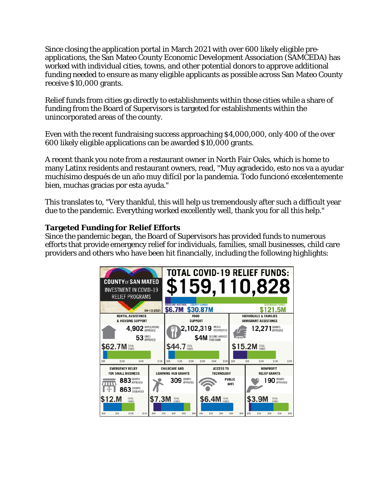Since closing the application portal in March 2021 with over 600 likely eligible preapplications, the San Mateo County Economic Development Association (SAMCEDA) has worked with individual cities, towns, and other potential donors to approve additional funding needed to ensure as many eligible applicants as possible across San Mateo County receive \$10,000 grants.

Relief funds from cities go directly to establishments within those cities while a share of funding from the Board of Supervisors is targeted for establishments within the unincorporated areas of the county.

Even with the recent fundraising success approaching \$4,000,000, only 400 of the over 600 likely eligible applications can be awarded \$10,000 grants.

A recent thank you note from a restaurant owner in North Fair Oaks, which is home to many Latinx residents and restaurant owners, read, "Muy agradecido, esto nos va a ayudar muchísimo después de un año muy difícil por la pandemia. Todo funcionó excelentemente bien, muchas gracias por esta ayuda."

This translates to, "Very thankful, this will help us tremendously after such a difficult year due to the pandemic. Everything worked excellently well, thank you for all this help."

## **Targeted Funding for Relief Efforts**

Since the pandemic began, the Board of Supervisors has provided funds to numerous efforts that provide emergency relief for individuals, families, small businesses, child care providers and others who have been hit financially, including the following highlights: